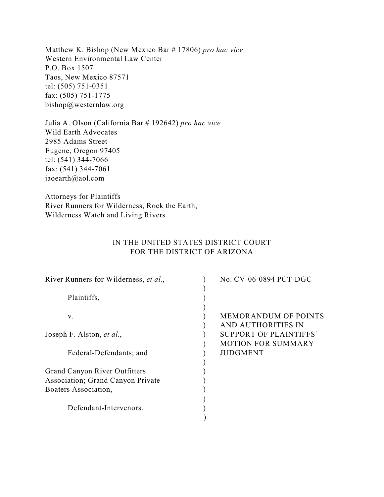Matthew K. Bishop (New Mexico Bar # 17806) *pro hac vice* Western Environmental Law Center P.O. Box 1507 Taos, New Mexico 87571 tel: (505) 751-0351 fax: (505) 751-1775 bishop@westernlaw.org

Julia A. Olson (California Bar # 192642) *pro hac vice* Wild Earth Advocates 2985 Adams Street Eugene, Oregon 97405 tel: (541) 344-7066 fax: (541) 344-7061 jaoearth@aol.com

Attorneys for Plaintiffs River Runners for Wilderness, Rock the Earth, Wilderness Watch and Living Rivers

# IN THE UNITED STATES DISTRICT COURT FOR THE DISTRICT OF ARIZONA

| River Runners for Wilderness, et al.,     | No. CV-06-0894 PCT-DGC        |
|-------------------------------------------|-------------------------------|
|                                           |                               |
| Plaintiffs,                               |                               |
|                                           |                               |
| V.                                        | <b>MEMORANDUM OF POINTS</b>   |
|                                           | <b>AND AUTHORITIES IN</b>     |
| Joseph F. Alston, et al.,                 | <b>SUPPORT OF PLAINTIFFS'</b> |
|                                           | <b>MOTION FOR SUMMARY</b>     |
| Federal-Defendants; and                   | <b>JUDGMENT</b>               |
|                                           |                               |
| <b>Grand Canyon River Outfitters</b>      |                               |
| <b>Association</b> ; Grand Canyon Private |                               |
| Boaters Association,                      |                               |
|                                           |                               |
| Defendant-Intervenors.                    |                               |
|                                           |                               |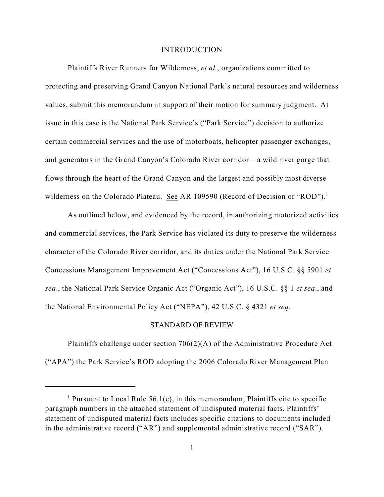#### INTRODUCTION

Plaintiffs River Runners for Wilderness, *et al.*, organizations committed to protecting and preserving Grand Canyon National Park's natural resources and wilderness values, submit this memorandum in support of their motion for summary judgment. At issue in this case is the National Park Service's ("Park Service") decision to authorize certain commercial services and the use of motorboats, helicopter passenger exchanges, and generators in the Grand Canyon's Colorado River corridor – a wild river gorge that flows through the heart of the Grand Canyon and the largest and possibly most diverse wilderness on the Colorado Plateau. See AR 109590 (Record of Decision or "ROD").<sup>1</sup>

As outlined below, and evidenced by the record, in authorizing motorized activities and commercial services, the Park Service has violated its duty to preserve the wilderness character of the Colorado River corridor, and its duties under the National Park Service Concessions Management Improvement Act ("Concessions Act"), 16 U.S.C. §§ 5901 *et seq*., the National Park Service Organic Act ("Organic Act"), 16 U.S.C. §§ 1 *et seq*., and the National Environmental Policy Act ("NEPA"), 42 U.S.C. § 4321 *et seq*.

#### STANDARD OF REVIEW

Plaintiffs challenge under section 706(2)(A) of the Administrative Procedure Act ("APA") the Park Service's ROD adopting the 2006 Colorado River Management Plan

<sup>&</sup>lt;sup>1</sup> Pursuant to Local Rule 56.1(e), in this memorandum, Plaintiffs cite to specific paragraph numbers in the attached statement of undisputed material facts. Plaintiffs' statement of undisputed material facts includes specific citations to documents included in the administrative record ("AR") and supplemental administrative record ("SAR").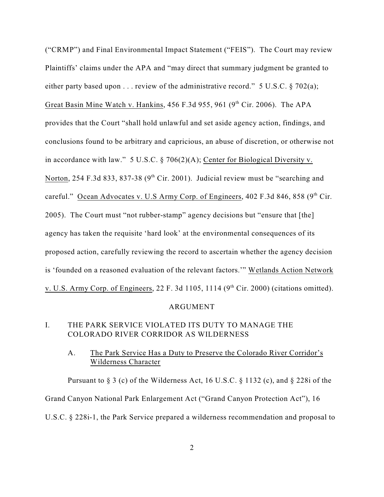("CRMP") and Final Environmental Impact Statement ("FEIS"). The Court may review Plaintiffs' claims under the APA and "may direct that summary judgment be granted to either party based upon . . . review of the administrative record." 5 U.S.C. § 702(a); Great Basin Mine Watch v. Hankins,  $456$  F.3d  $955$ ,  $961$  ( $9<sup>th</sup>$  Cir. 2006). The APA provides that the Court "shall hold unlawful and set aside agency action, findings, and conclusions found to be arbitrary and capricious, an abuse of discretion, or otherwise not in accordance with law." 5 U.S.C. § 706(2)(A); Center for Biological Diversity v. Norton, 254 F.3d 833, 837-38 ( $9<sup>th</sup>$  Cir. 2001). Judicial review must be "searching and careful." Ocean Advocates v. U.S Army Corp. of Engineers, 402 F.3d 846, 858 (9<sup>th</sup> Cir. 2005). The Court must "not rubber-stamp" agency decisions but "ensure that [the] agency has taken the requisite 'hard look' at the environmental consequences of its proposed action, carefully reviewing the record to ascertain whether the agency decision is 'founded on a reasoned evaluation of the relevant factors.'" Wetlands Action Network v. U.S. Army Corp. of Engineers, 22 F. 3d 1105, 1114  $(9<sup>th</sup> Cir. 2000)$  (citations omitted).

#### ARGUMENT

# I. THE PARK SERVICE VIOLATED ITS DUTY TO MANAGE THE COLORADO RIVER CORRIDOR AS WILDERNESS

## A. The Park Service Has a Duty to Preserve the Colorado River Corridor's Wilderness Character

Pursuant to  $\S 3$  (c) of the Wilderness Act, 16 U.S.C.  $\S 1132$  (c), and  $\S 228i$  of the Grand Canyon National Park Enlargement Act ("Grand Canyon Protection Act"), 16 U.S.C. § 228i-1, the Park Service prepared a wilderness recommendation and proposal to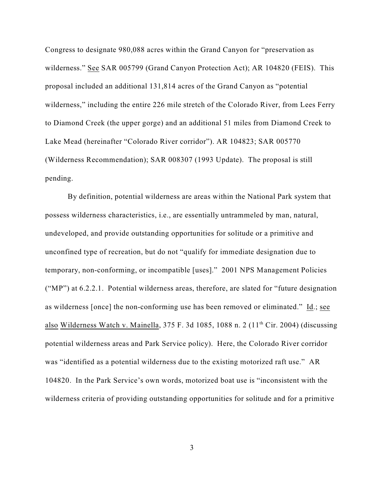Congress to designate 980,088 acres within the Grand Canyon for "preservation as wilderness." See SAR 005799 (Grand Canyon Protection Act); AR 104820 (FEIS). This proposal included an additional 131,814 acres of the Grand Canyon as "potential wilderness," including the entire 226 mile stretch of the Colorado River, from Lees Ferry to Diamond Creek (the upper gorge) and an additional 51 miles from Diamond Creek to Lake Mead (hereinafter "Colorado River corridor"). AR 104823; SAR 005770 (Wilderness Recommendation); SAR 008307 (1993 Update). The proposal is still pending.

By definition, potential wilderness are areas within the National Park system that possess wilderness characteristics, i.e., are essentially untrammeled by man, natural, undeveloped, and provide outstanding opportunities for solitude or a primitive and unconfined type of recreation, but do not "qualify for immediate designation due to temporary, non-conforming, or incompatible [uses]." 2001 NPS Management Policies ("MP") at 6.2.2.1. Potential wilderness areas, therefore, are slated for "future designation as wilderness [once] the non-conforming use has been removed or eliminated." Id.; see also Wilderness Watch v. Mainella,  $375$  F. 3d 1085, 1088 n. 2 ( $11<sup>th</sup>$  Cir. 2004) (discussing potential wilderness areas and Park Service policy). Here, the Colorado River corridor was "identified as a potential wilderness due to the existing motorized raft use." AR 104820. In the Park Service's own words, motorized boat use is "inconsistent with the wilderness criteria of providing outstanding opportunities for solitude and for a primitive

3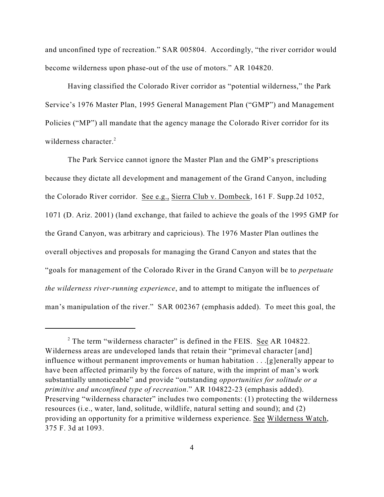and unconfined type of recreation." SAR 005804. Accordingly, "the river corridor would become wilderness upon phase-out of the use of motors." AR 104820.

Having classified the Colorado River corridor as "potential wilderness," the Park Service's 1976 Master Plan, 1995 General Management Plan ("GMP") and Management Policies ("MP") all mandate that the agency manage the Colorado River corridor for its wilderness character.<sup>2</sup>

The Park Service cannot ignore the Master Plan and the GMP's prescriptions because they dictate all development and management of the Grand Canyon, including the Colorado River corridor. See e.g., Sierra Club v. Dombeck, 161 F. Supp.2d 1052, 1071 (D. Ariz. 2001) (land exchange, that failed to achieve the goals of the 1995 GMP for the Grand Canyon, was arbitrary and capricious). The 1976 Master Plan outlines the overall objectives and proposals for managing the Grand Canyon and states that the "goals for management of the Colorado River in the Grand Canyon will be to *perpetuate the wilderness river-running experience*, and to attempt to mitigate the influences of man's manipulation of the river." SAR 002367 (emphasis added). To meet this goal, the

 $2$  The term "wilderness character" is defined in the FEIS. See AR 104822. Wilderness areas are undeveloped lands that retain their "primeval character [and] influence without permanent improvements or human habitation . . .[g]enerally appear to have been affected primarily by the forces of nature, with the imprint of man's work substantially unnoticeable" and provide "outstanding *opportunities for solitude or a primitive and unconfined type of recreation*." AR 104822-23 (emphasis added). Preserving "wilderness character" includes two components: (1) protecting the wilderness resources (i.e., water, land, solitude, wildlife, natural setting and sound); and (2) providing an opportunity for a primitive wilderness experience. See Wilderness Watch, 375 F. 3d at 1093.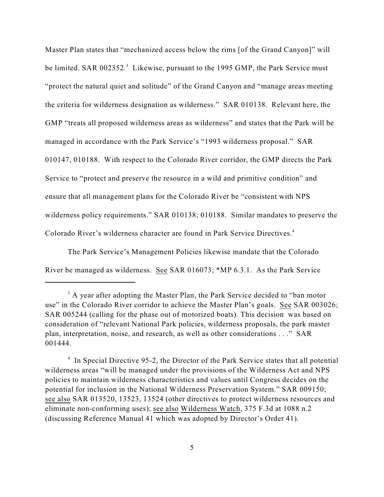Master Plan states that "mechanized access below the rims [of the Grand Canyon]" will be limited. SAR 002352.<sup>3</sup> Likewise, pursuant to the 1995 GMP, the Park Service must "protect the natural quiet and solitude" of the Grand Canyon and "manage areas meeting the criteria for wilderness designation as wilderness." SAR 010138. Relevant here, the GMP "treats all proposed wilderness areas as wilderness" and states that the Park will be managed in accordance with the Park Service's "1993 wilderness proposal." SAR 010147, 010188. With respect to the Colorado River corridor, the GMP directs the Park Service to "protect and preserve the resource in a wild and primitive condition" and ensure that all management plans for the Colorado River be "consistent with NPS wilderness policy requirements." SAR 010138; 010188. Similar mandates to preserve the Colorado River's wilderness character are found in Park Service Directives. 4

The Park Service's Management Policies likewise mandate that the Colorado River be managed as wilderness. See SAR 016073; \*MP 6.3.1. As the Park Service

 $^3$  A year after adopting the Master Plan, the Park Service decided to "ban motor" use" in the Colorado River corridor to achieve the Master Plan's goals. See SAR 003026; SAR 005244 (calling for the phase out of motorized boats). This decision was based on consideration of "relevant National Park policies, wilderness proposals, the park master plan, interpretation, noise, and research, as well as other considerations . . ." SAR 001444.

 $\frac{4}{1}$  In Special Directive 95-2, the Director of the Park Service states that all potential wilderness areas "will be managed under the provisions of the Wilderness Act and NPS policies to maintain wilderness characteristics and values until Congress decides on the potential for inclusion in the National Wilderness Preservation System." SAR 009150; see also SAR 013520, 13523, 13524 (other directives to protect wilderness resources and eliminate non-conforming uses); see also Wilderness Watch, 375 F.3d at 1088 n.2 (discussing Reference Manual 41 which was adopted by Director's Order 41).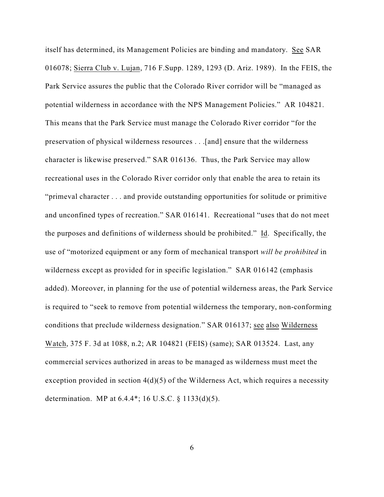itself has determined, its Management Policies are binding and mandatory. See SAR 016078; Sierra Club v. Lujan, 716 F.Supp. 1289, 1293 (D. Ariz. 1989). In the FEIS, the Park Service assures the public that the Colorado River corridor will be "managed as potential wilderness in accordance with the NPS Management Policies." AR 104821. This means that the Park Service must manage the Colorado River corridor "for the preservation of physical wilderness resources . . .[and] ensure that the wilderness character is likewise preserved." SAR 016136. Thus, the Park Service may allow recreational uses in the Colorado River corridor only that enable the area to retain its "primeval character . . . and provide outstanding opportunities for solitude or primitive and unconfined types of recreation." SAR 016141. Recreational "uses that do not meet the purposes and definitions of wilderness should be prohibited." Id. Specifically, the use of "motorized equipment or any form of mechanical transport *will be prohibited* in wilderness except as provided for in specific legislation." SAR 016142 (emphasis added). Moreover, in planning for the use of potential wilderness areas, the Park Service is required to "seek to remove from potential wilderness the temporary, non-conforming conditions that preclude wilderness designation." SAR 016137; see also Wilderness Watch, 375 F. 3d at 1088, n.2; AR 104821 (FEIS) (same); SAR 013524. Last, any commercial services authorized in areas to be managed as wilderness must meet the exception provided in section 4(d)(5) of the Wilderness Act, which requires a necessity determination. MP at 6.4.4\*; 16 U.S.C. § 1133(d)(5).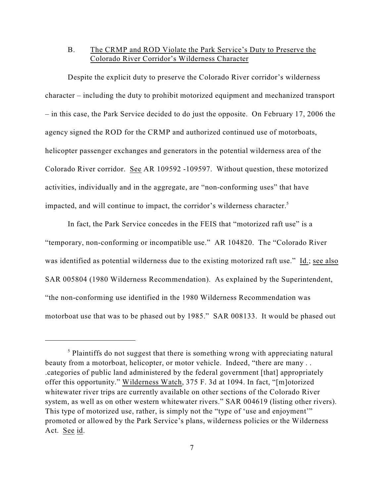### B. The CRMP and ROD Violate the Park Service's Duty to Preserve the Colorado River Corridor's Wilderness Character

Despite the explicit duty to preserve the Colorado River corridor's wilderness character – including the duty to prohibit motorized equipment and mechanized transport – in this case, the Park Service decided to do just the opposite. On February 17, 2006 the agency signed the ROD for the CRMP and authorized continued use of motorboats, helicopter passenger exchanges and generators in the potential wilderness area of the Colorado River corridor. See AR 109592 -109597. Without question, these motorized activities, individually and in the aggregate, are "non-conforming uses" that have impacted, and will continue to impact, the corridor's wilderness character.<sup>5</sup>

In fact, the Park Service concedes in the FEIS that "motorized raft use" is a "temporary, non-conforming or incompatible use." AR 104820. The "Colorado River was identified as potential wilderness due to the existing motorized raft use." Id.; see also SAR 005804 (1980 Wilderness Recommendation). As explained by the Superintendent, "the non-conforming use identified in the 1980 Wilderness Recommendation was motorboat use that was to be phased out by 1985." SAR 008133. It would be phased out

 $<sup>5</sup>$  Plaintiffs do not suggest that there is something wrong with appreciating natural</sup> beauty from a motorboat, helicopter, or motor vehicle. Indeed, "there are many . . .categories of public land administered by the federal government [that] appropriately offer this opportunity." Wilderness Watch, 375 F. 3d at 1094. In fact, "[m]otorized whitewater river trips are currently available on other sections of the Colorado River system, as well as on other western whitewater rivers." SAR 004619 (listing other rivers). This type of motorized use, rather, is simply not the "type of 'use and enjoyment" promoted or allowed by the Park Service's plans, wilderness policies or the Wilderness Act. See id.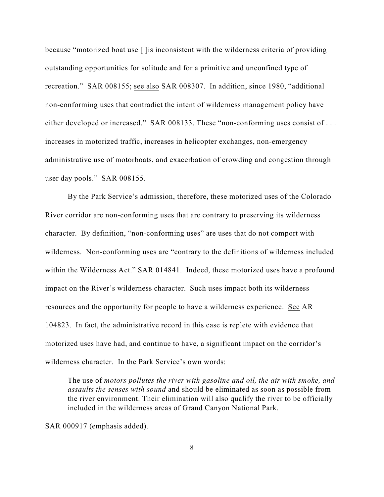because "motorized boat use [ ]is inconsistent with the wilderness criteria of providing outstanding opportunities for solitude and for a primitive and unconfined type of recreation." SAR 008155; see also SAR 008307. In addition, since 1980, "additional non-conforming uses that contradict the intent of wilderness management policy have either developed or increased." SAR 008133. These "non-conforming uses consist of ... increases in motorized traffic, increases in helicopter exchanges, non-emergency administrative use of motorboats, and exacerbation of crowding and congestion through user day pools." SAR 008155.

By the Park Service's admission, therefore, these motorized uses of the Colorado River corridor are non-conforming uses that are contrary to preserving its wilderness character. By definition, "non-conforming uses" are uses that do not comport with wilderness. Non-conforming uses are "contrary to the definitions of wilderness included within the Wilderness Act." SAR 014841. Indeed, these motorized uses have a profound impact on the River's wilderness character. Such uses impact both its wilderness resources and the opportunity for people to have a wilderness experience. See AR 104823. In fact, the administrative record in this case is replete with evidence that motorized uses have had, and continue to have, a significant impact on the corridor's wilderness character. In the Park Service's own words:

The use of *motors pollutes the river with gasoline and oil, the air with smoke, and assaults the senses with sound* and should be eliminated as soon as possible from the river environment. Their elimination will also qualify the river to be officially included in the wilderness areas of Grand Canyon National Park.

SAR 000917 (emphasis added).

8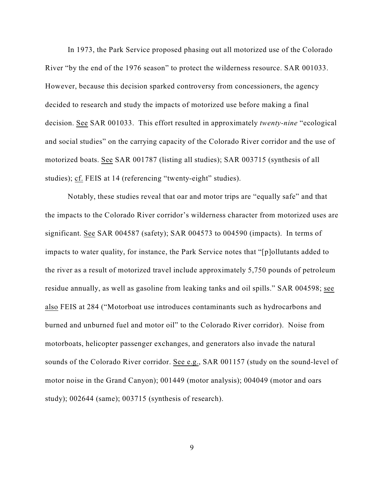In 1973, the Park Service proposed phasing out all motorized use of the Colorado River "by the end of the 1976 season" to protect the wilderness resource. SAR 001033. However, because this decision sparked controversy from concessioners, the agency decided to research and study the impacts of motorized use before making a final decision. See SAR 001033. This effort resulted in approximately *twenty-nine* "ecological and social studies" on the carrying capacity of the Colorado River corridor and the use of motorized boats. See SAR 001787 (listing all studies); SAR 003715 (synthesis of all studies); cf. FEIS at 14 (referencing "twenty-eight" studies).

Notably, these studies reveal that oar and motor trips are "equally safe" and that the impacts to the Colorado River corridor's wilderness character from motorized uses are significant. See SAR 004587 (safety); SAR 004573 to 004590 (impacts). In terms of impacts to water quality, for instance, the Park Service notes that "[p]ollutants added to the river as a result of motorized travel include approximately 5,750 pounds of petroleum residue annually, as well as gasoline from leaking tanks and oil spills." SAR 004598; see also FEIS at 284 ("Motorboat use introduces contaminants such as hydrocarbons and burned and unburned fuel and motor oil" to the Colorado River corridor). Noise from motorboats, helicopter passenger exchanges, and generators also invade the natural sounds of the Colorado River corridor. See e.g., SAR 001157 (study on the sound-level of motor noise in the Grand Canyon); 001449 (motor analysis); 004049 (motor and oars study); 002644 (same); 003715 (synthesis of research).

9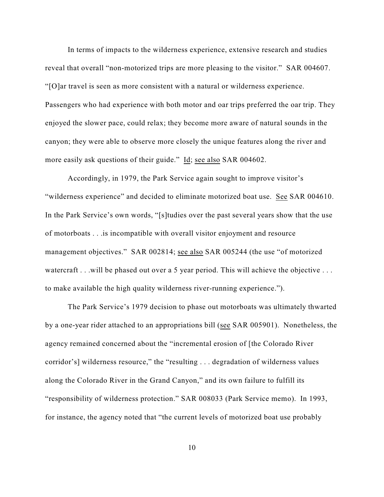In terms of impacts to the wilderness experience, extensive research and studies reveal that overall "non-motorized trips are more pleasing to the visitor." SAR 004607. "[O]ar travel is seen as more consistent with a natural or wilderness experience. Passengers who had experience with both motor and oar trips preferred the oar trip. They enjoyed the slower pace, could relax; they become more aware of natural sounds in the canyon; they were able to observe more closely the unique features along the river and more easily ask questions of their guide." Id; see also SAR 004602.

Accordingly, in 1979, the Park Service again sought to improve visitor's "wilderness experience" and decided to eliminate motorized boat use. See SAR 004610. In the Park Service's own words, "[s]tudies over the past several years show that the use of motorboats . . .is incompatible with overall visitor enjoyment and resource management objectives." SAR 002814; see also SAR 005244 (the use "of motorized watercraft . . .will be phased out over a 5 year period. This will achieve the objective . . . to make available the high quality wilderness river-running experience.").

The Park Service's 1979 decision to phase out motorboats was ultimately thwarted by a one-year rider attached to an appropriations bill (see SAR 005901). Nonetheless, the agency remained concerned about the "incremental erosion of [the Colorado River corridor's] wilderness resource," the "resulting . . . degradation of wilderness values along the Colorado River in the Grand Canyon," and its own failure to fulfill its "responsibility of wilderness protection." SAR 008033 (Park Service memo). In 1993, for instance, the agency noted that "the current levels of motorized boat use probably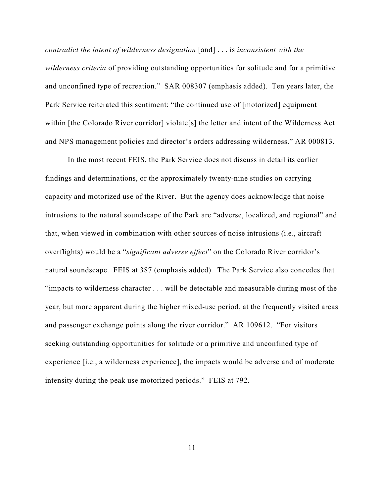*contradict the intent of wilderness designation* [and] . . . is *inconsistent with the wilderness criteria* of providing outstanding opportunities for solitude and for a primitive and unconfined type of recreation." SAR 008307 (emphasis added). Ten years later, the Park Service reiterated this sentiment: "the continued use of [motorized] equipment within [the Colorado River corridor] violate[s] the letter and intent of the Wilderness Act and NPS management policies and director's orders addressing wilderness." AR 000813.

In the most recent FEIS, the Park Service does not discuss in detail its earlier findings and determinations, or the approximately twenty-nine studies on carrying capacity and motorized use of the River. But the agency does acknowledge that noise intrusions to the natural soundscape of the Park are "adverse, localized, and regional" and that, when viewed in combination with other sources of noise intrusions (i.e., aircraft overflights) would be a "*significant adverse effect*" on the Colorado River corridor's natural soundscape. FEIS at 387 (emphasis added). The Park Service also concedes that "impacts to wilderness character . . . will be detectable and measurable during most of the year, but more apparent during the higher mixed-use period, at the frequently visited areas and passenger exchange points along the river corridor." AR 109612. "For visitors seeking outstanding opportunities for solitude or a primitive and unconfined type of experience [i.e., a wilderness experience], the impacts would be adverse and of moderate intensity during the peak use motorized periods." FEIS at 792.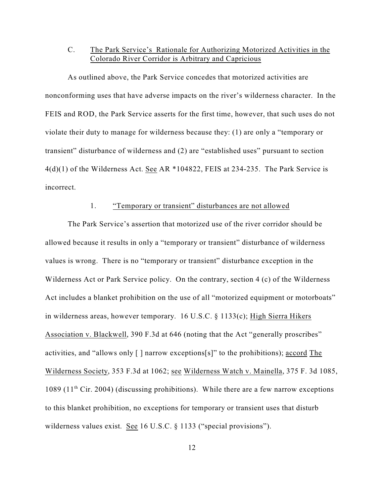# C. The Park Service's Rationale for Authorizing Motorized Activities in the Colorado River Corridor is Arbitrary and Capricious

As outlined above, the Park Service concedes that motorized activities are nonconforming uses that have adverse impacts on the river's wilderness character. In the FEIS and ROD, the Park Service asserts for the first time, however, that such uses do not violate their duty to manage for wilderness because they: (1) are only a "temporary or transient" disturbance of wilderness and (2) are "established uses" pursuant to section  $4(d)(1)$  of the Wilderness Act. See AR \*104822, FEIS at 234-235. The Park Service is incorrect.

### 1. "Temporary or transient" disturbances are not allowed

The Park Service's assertion that motorized use of the river corridor should be allowed because it results in only a "temporary or transient" disturbance of wilderness values is wrong. There is no "temporary or transient" disturbance exception in the Wilderness Act or Park Service policy. On the contrary, section 4 (c) of the Wilderness Act includes a blanket prohibition on the use of all "motorized equipment or motorboats" in wilderness areas, however temporary. 16 U.S.C. § 1133(c); High Sierra Hikers Association v. Blackwell, 390 F.3d at 646 (noting that the Act "generally proscribes" activities, and "allows only [ ] narrow exceptions[s]" to the prohibitions); accord The Wilderness Society, 353 F.3d at 1062; see Wilderness Watch v. Mainella, 375 F. 3d 1085, 1089 (11<sup>th</sup> Cir. 2004) (discussing prohibitions). While there are a few narrow exceptions to this blanket prohibition, no exceptions for temporary or transient uses that disturb wilderness values exist. See 16 U.S.C. § 1133 ("special provisions").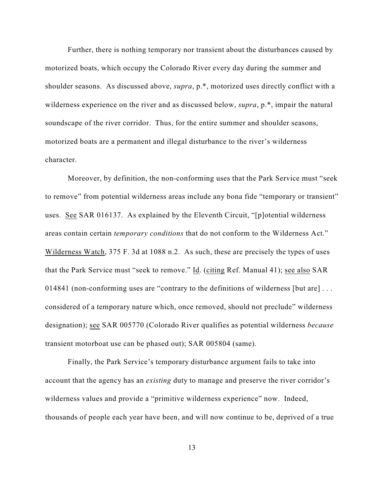Further, there is nothing temporary nor transient about the disturbances caused by motorized boats, which occupy the Colorado River every day during the summer and shoulder seasons. As discussed above, *supra*, p.\*, motorized uses directly conflict with a wilderness experience on the river and as discussed below, *supra*, p.\*, impair the natural soundscape of the river corridor. Thus, for the entire summer and shoulder seasons, motorized boats are a permanent and illegal disturbance to the river's wilderness character.

Moreover, by definition, the non-conforming uses that the Park Service must "seek to remove" from potential wilderness areas include any bona fide "temporary or transient" uses. See SAR 016137. As explained by the Eleventh Circuit, "[p]otential wilderness areas contain certain *temporary conditions* that do not conform to the Wilderness Act." Wilderness Watch, 375 F. 3d at 1088 n.2. As such, these are precisely the types of uses that the Park Service must "seek to remove." Id. (citing Ref. Manual 41); see also SAR 014841 (non-conforming uses are "contrary to the definitions of wilderness [but are] . . . considered of a temporary nature which, once removed, should not preclude" wilderness designation); see SAR 005770 (Colorado River qualifies as potential wilderness *because* transient motorboat use can be phased out); SAR 005804 (same).

Finally, the Park Service's temporary disturbance argument fails to take into account that the agency has an *existing* duty to manage and preserve the river corridor's wilderness values and provide a "primitive wilderness experience" now. Indeed, thousands of people each year have been, and will now continue to be, deprived of a true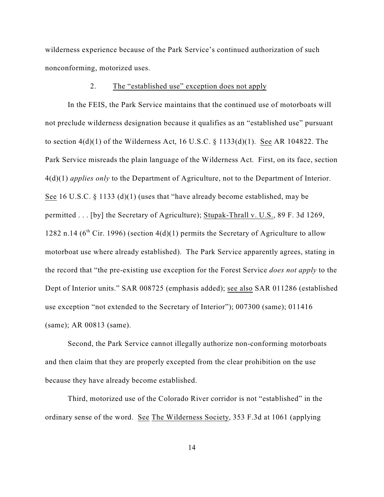wilderness experience because of the Park Service's continued authorization of such nonconforming, motorized uses.

### 2. The "established use" exception does not apply

In the FEIS, the Park Service maintains that the continued use of motorboats will not preclude wilderness designation because it qualifies as an "established use" pursuant to section 4(d)(1) of the Wilderness Act, 16 U.S.C. § 1133(d)(1). See AR 104822. The Park Service misreads the plain language of the Wilderness Act. First, on its face, section 4(d)(1) *applies only* to the Department of Agriculture, not to the Department of Interior. See 16 U.S.C. § 1133 (d)(1) (uses that "have already become established, may be permitted . . . [by] the Secretary of Agriculture); Stupak-Thrall v. U.S., 89 F. 3d 1269, 1282 n.14 ( $6<sup>th</sup>$  Cir. 1996) (section 4(d)(1) permits the Secretary of Agriculture to allow motorboat use where already established). The Park Service apparently agrees, stating in the record that "the pre-existing use exception for the Forest Service *does not apply* to the Dept of Interior units." SAR 008725 (emphasis added); see also SAR 011286 (established use exception "not extended to the Secretary of Interior"); 007300 (same); 011416 (same); AR 00813 (same).

Second, the Park Service cannot illegally authorize non-conforming motorboats and then claim that they are properly excepted from the clear prohibition on the use because they have already become established.

Third, motorized use of the Colorado River corridor is not "established" in the ordinary sense of the word. See The Wilderness Society, 353 F.3d at 1061 (applying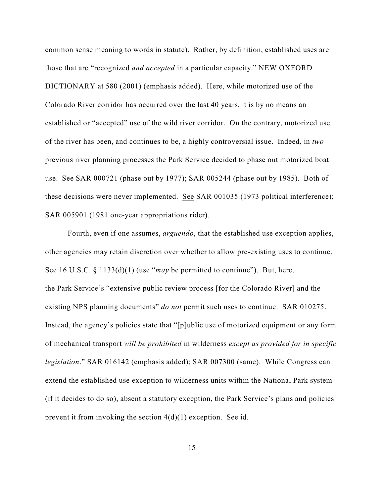common sense meaning to words in statute). Rather, by definition, established uses are those that are "recognized *and accepted* in a particular capacity." NEW OXFORD DICTIONARY at 580 (2001) (emphasis added). Here, while motorized use of the Colorado River corridor has occurred over the last 40 years, it is by no means an established or "accepted" use of the wild river corridor. On the contrary, motorized use of the river has been, and continues to be, a highly controversial issue. Indeed, in *two* previous river planning processes the Park Service decided to phase out motorized boat use. See SAR 000721 (phase out by 1977); SAR 005244 (phase out by 1985). Both of these decisions were never implemented. See SAR 001035 (1973 political interference); SAR 005901 (1981 one-year appropriations rider).

Fourth, even if one assumes, *arguendo*, that the established use exception applies, other agencies may retain discretion over whether to allow pre-existing uses to continue. See 16 U.S.C. § 1133(d)(1) (use "*may* be permitted to continue"). But, here, the Park Service's "extensive public review process [for the Colorado River] and the existing NPS planning documents" *do not* permit such uses to continue. SAR 010275. Instead, the agency's policies state that "[p]ublic use of motorized equipment or any form of mechanical transport *will be prohibited* in wilderness *except as provided for in specific legislation*." SAR 016142 (emphasis added); SAR 007300 (same). While Congress can extend the established use exception to wilderness units within the National Park system (if it decides to do so), absent a statutory exception, the Park Service's plans and policies prevent it from invoking the section  $4(d)(1)$  exception. See id.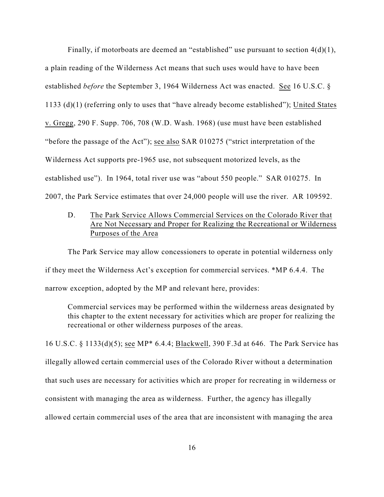Finally, if motorboats are deemed an "established" use pursuant to section  $4(d)(1)$ , a plain reading of the Wilderness Act means that such uses would have to have been established *before* the September 3, 1964 Wilderness Act was enacted. See 16 U.S.C. § 1133 (d)(1) (referring only to uses that "have already become established"); United States v. Gregg, 290 F. Supp. 706, 708 (W.D. Wash. 1968) (use must have been established "before the passage of the Act"); see also SAR 010275 ("strict interpretation of the Wilderness Act supports pre-1965 use, not subsequent motorized levels, as the established use"). In 1964, total river use was "about 550 people." SAR 010275. In 2007, the Park Service estimates that over 24,000 people will use the river. AR 109592.

D. The Park Service Allows Commercial Services on the Colorado River that Are Not Necessary and Proper for Realizing the Recreational or Wilderness Purposes of the Area

The Park Service may allow concessioners to operate in potential wilderness only if they meet the Wilderness Act's exception for commercial services. \*MP 6.4.4. The narrow exception, adopted by the MP and relevant here, provides:

Commercial services may be performed within the wilderness areas designated by this chapter to the extent necessary for activities which are proper for realizing the recreational or other wilderness purposes of the areas.

16 U.S.C. § 1133(d)(5); see MP\* 6.4.4; Blackwell, 390 F.3d at 646. The Park Service has illegally allowed certain commercial uses of the Colorado River without a determination that such uses are necessary for activities which are proper for recreating in wilderness or consistent with managing the area as wilderness. Further, the agency has illegally allowed certain commercial uses of the area that are inconsistent with managing the area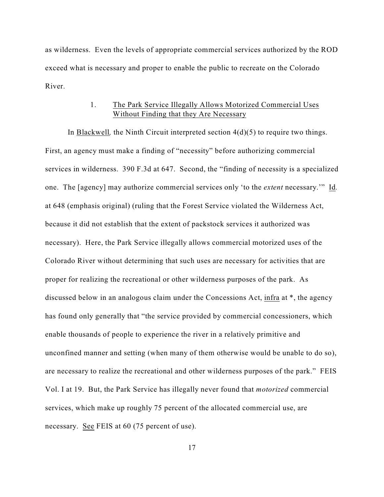as wilderness. Even the levels of appropriate commercial services authorized by the ROD exceed what is necessary and proper to enable the public to recreate on the Colorado River.

## 1. The Park Service Illegally Allows Motorized Commercial Uses Without Finding that they Are Necessary

In Blackwell*,* the Ninth Circuit interpreted section 4(d)(5) to require two things. First, an agency must make a finding of "necessity" before authorizing commercial services in wilderness. 390 F.3d at 647. Second, the "finding of necessity is a specialized one. The [agency] may authorize commercial services only 'to the *extent* necessary.'" Id*.* at 648 (emphasis original) (ruling that the Forest Service violated the Wilderness Act, because it did not establish that the extent of packstock services it authorized was necessary). Here, the Park Service illegally allows commercial motorized uses of the Colorado River without determining that such uses are necessary for activities that are proper for realizing the recreational or other wilderness purposes of the park. As discussed below in an analogous claim under the Concessions Act, infra at \*, the agency has found only generally that "the service provided by commercial concessioners, which enable thousands of people to experience the river in a relatively primitive and unconfined manner and setting (when many of them otherwise would be unable to do so), are necessary to realize the recreational and other wilderness purposes of the park." FEIS Vol. I at 19. But, the Park Service has illegally never found that *motorized* commercial services, which make up roughly 75 percent of the allocated commercial use, are necessary. See FEIS at 60 (75 percent of use).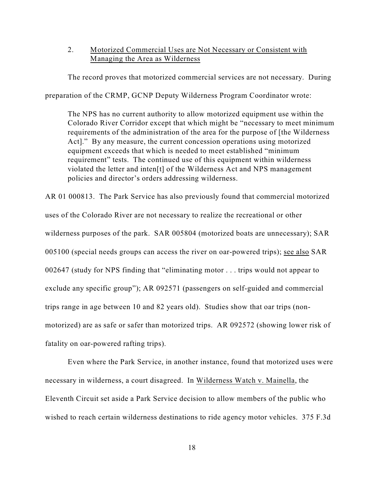2. Motorized Commercial Uses are Not Necessary or Consistent with Managing the Area as Wilderness

The record proves that motorized commercial services are not necessary. During

preparation of the CRMP, GCNP Deputy Wilderness Program Coordinator wrote:

The NPS has no current authority to allow motorized equipment use within the Colorado River Corridor except that which might be "necessary to meet minimum requirements of the administration of the area for the purpose of [the Wilderness Act]." By any measure, the current concession operations using motorized equipment exceeds that which is needed to meet established "minimum requirement" tests. The continued use of this equipment within wilderness violated the letter and inten[t] of the Wilderness Act and NPS management policies and director's orders addressing wilderness.

AR 01 000813. The Park Service has also previously found that commercial motorized uses of the Colorado River are not necessary to realize the recreational or other wilderness purposes of the park. SAR 005804 (motorized boats are unnecessary); SAR 005100 (special needs groups can access the river on oar-powered trips); see also SAR 002647 (study for NPS finding that "eliminating motor . . . trips would not appear to exclude any specific group"); AR 092571 (passengers on self-guided and commercial trips range in age between 10 and 82 years old). Studies show that oar trips (nonmotorized) are as safe or safer than motorized trips. AR 092572 (showing lower risk of fatality on oar-powered rafting trips).

Even where the Park Service, in another instance, found that motorized uses were necessary in wilderness, a court disagreed. In Wilderness Watch v. Mainella, the Eleventh Circuit set aside a Park Service decision to allow members of the public who wished to reach certain wilderness destinations to ride agency motor vehicles. 375 F.3d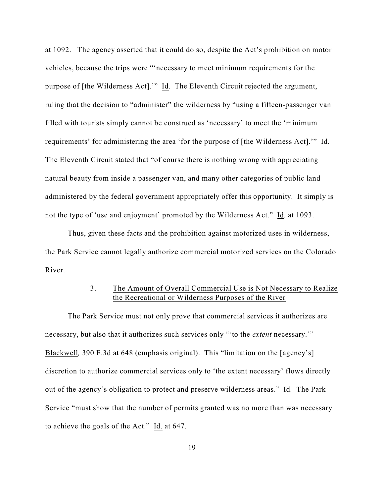at 1092. The agency asserted that it could do so, despite the Act's prohibition on motor vehicles, because the trips were "'necessary to meet minimum requirements for the purpose of [the Wilderness Act].'" Id. The Eleventh Circuit rejected the argument, ruling that the decision to "administer" the wilderness by "using a fifteen-passenger van filled with tourists simply cannot be construed as 'necessary' to meet the 'minimum requirements' for administering the area 'for the purpose of [the Wilderness Act].'" Id*.* The Eleventh Circuit stated that "of course there is nothing wrong with appreciating natural beauty from inside a passenger van, and many other categories of public land administered by the federal government appropriately offer this opportunity. It simply is not the type of 'use and enjoyment' promoted by the Wilderness Act." Id*.* at 1093.

Thus, given these facts and the prohibition against motorized uses in wilderness, the Park Service cannot legally authorize commercial motorized services on the Colorado River.

# 3. The Amount of Overall Commercial Use is Not Necessary to Realize the Recreational or Wilderness Purposes of the River

The Park Service must not only prove that commercial services it authorizes are necessary, but also that it authorizes such services only "'to the *extent* necessary.'" Blackwell*,* 390 F.3d at 648 (emphasis original). This "limitation on the [agency's] discretion to authorize commercial services only to 'the extent necessary' flows directly out of the agency's obligation to protect and preserve wilderness areas." Id*.* The Park Service "must show that the number of permits granted was no more than was necessary to achieve the goals of the Act." Id. at 647.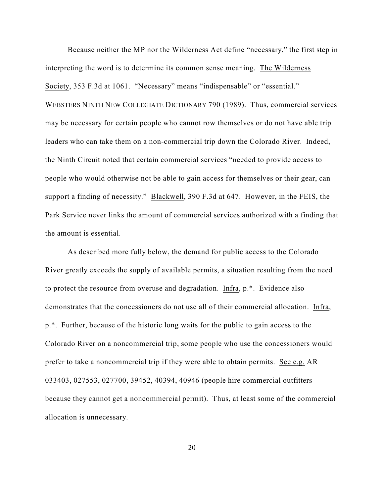Because neither the MP nor the Wilderness Act define "necessary," the first step in interpreting the word is to determine its common sense meaning. The Wilderness Society, 353 F.3d at 1061. "Necessary" means "indispensable" or "essential." WEBSTERS NINTH NEW COLLEGIATE DICTIONARY 790 (1989). Thus, commercial services may be necessary for certain people who cannot row themselves or do not have able trip leaders who can take them on a non-commercial trip down the Colorado River. Indeed, the Ninth Circuit noted that certain commercial services "needed to provide access to people who would otherwise not be able to gain access for themselves or their gear, can support a finding of necessity." Blackwell, 390 F.3d at 647. However, in the FEIS, the Park Service never links the amount of commercial services authorized with a finding that the amount is essential.

As described more fully below, the demand for public access to the Colorado River greatly exceeds the supply of available permits, a situation resulting from the need to protect the resource from overuse and degradation. Infra, p.\*. Evidence also demonstrates that the concessioners do not use all of their commercial allocation. Infra, p.\*. Further, because of the historic long waits for the public to gain access to the Colorado River on a noncommercial trip, some people who use the concessioners would prefer to take a noncommercial trip if they were able to obtain permits. See e.g. AR 033403, 027553, 027700, 39452, 40394, 40946 (people hire commercial outfitters because they cannot get a noncommercial permit). Thus, at least some of the commercial allocation is unnecessary.

20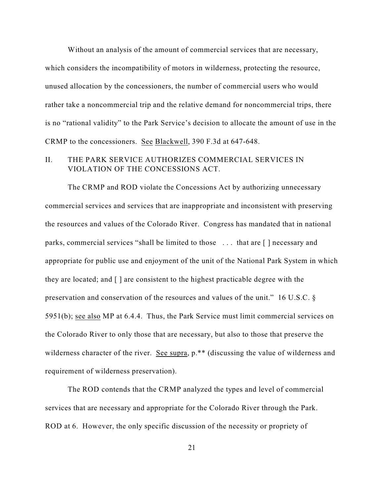Without an analysis of the amount of commercial services that are necessary, which considers the incompatibility of motors in wilderness, protecting the resource, unused allocation by the concessioners, the number of commercial users who would rather take a noncommercial trip and the relative demand for noncommercial trips, there is no "rational validity" to the Park Service's decision to allocate the amount of use in the CRMP to the concessioners. See Blackwell, 390 F.3d at 647-648.

# II. THE PARK SERVICE AUTHORIZES COMMERCIAL SERVICES IN VIOLATION OF THE CONCESSIONS ACT.

The CRMP and ROD violate the Concessions Act by authorizing unnecessary commercial services and services that are inappropriate and inconsistent with preserving the resources and values of the Colorado River. Congress has mandated that in national parks, commercial services "shall be limited to those . . . that are [ ] necessary and appropriate for public use and enjoyment of the unit of the National Park System in which they are located; and [ ] are consistent to the highest practicable degree with the preservation and conservation of the resources and values of the unit." 16 U.S.C. § 5951(b); see also MP at 6.4.4. Thus, the Park Service must limit commercial services on the Colorado River to only those that are necessary, but also to those that preserve the wilderness character of the river. See supra,  $p.*$  (discussing the value of wilderness and requirement of wilderness preservation).

The ROD contends that the CRMP analyzed the types and level of commercial services that are necessary and appropriate for the Colorado River through the Park. ROD at 6. However, the only specific discussion of the necessity or propriety of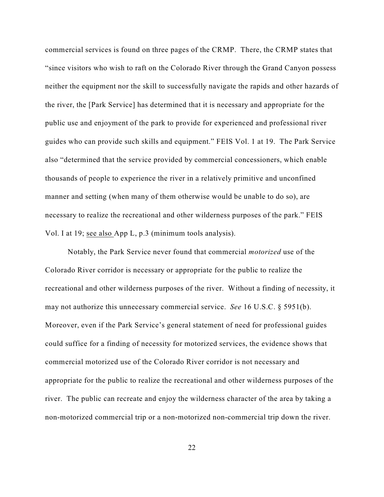commercial services is found on three pages of the CRMP. There, the CRMP states that "since visitors who wish to raft on the Colorado River through the Grand Canyon possess neither the equipment nor the skill to successfully navigate the rapids and other hazards of the river, the [Park Service] has determined that it is necessary and appropriate for the public use and enjoyment of the park to provide for experienced and professional river guides who can provide such skills and equipment." FEIS Vol. 1 at 19. The Park Service also "determined that the service provided by commercial concessioners, which enable thousands of people to experience the river in a relatively primitive and unconfined manner and setting (when many of them otherwise would be unable to do so), are necessary to realize the recreational and other wilderness purposes of the park." FEIS Vol. I at 19; see also App L, p.3 (minimum tools analysis).

Notably, the Park Service never found that commercial *motorized* use of the Colorado River corridor is necessary or appropriate for the public to realize the recreational and other wilderness purposes of the river. Without a finding of necessity, it may not authorize this unnecessary commercial service. *See* 16 U.S.C. § 5951(b). Moreover, even if the Park Service's general statement of need for professional guides could suffice for a finding of necessity for motorized services, the evidence shows that commercial motorized use of the Colorado River corridor is not necessary and appropriate for the public to realize the recreational and other wilderness purposes of the river. The public can recreate and enjoy the wilderness character of the area by taking a non-motorized commercial trip or a non-motorized non-commercial trip down the river.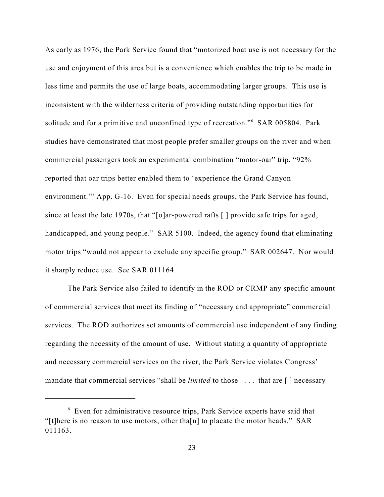As early as 1976, the Park Service found that "motorized boat use is not necessary for the use and enjoyment of this area but is a convenience which enables the trip to be made in less time and permits the use of large boats, accommodating larger groups. This use is inconsistent with the wilderness criteria of providing outstanding opportunities for solitude and for a primitive and unconfined type of recreation."<sup>6</sup> SAR 005804. Park studies have demonstrated that most people prefer smaller groups on the river and when commercial passengers took an experimental combination "motor-oar" trip, "92% reported that oar trips better enabled them to 'experience the Grand Canyon environment.'" App. G-16. Even for special needs groups, the Park Service has found, since at least the late 1970s, that "[o]ar-powered rafts [ ] provide safe trips for aged, handicapped, and young people." SAR 5100. Indeed, the agency found that eliminating motor trips "would not appear to exclude any specific group." SAR 002647. Nor would it sharply reduce use. See SAR 011164.

The Park Service also failed to identify in the ROD or CRMP any specific amount of commercial services that meet its finding of "necessary and appropriate" commercial services. The ROD authorizes set amounts of commercial use independent of any finding regarding the necessity of the amount of use. Without stating a quantity of appropriate and necessary commercial services on the river, the Park Service violates Congress' mandate that commercial services "shall be *limited* to those . . . that are [ ] necessary

 $6$  Even for administrative resource trips, Park Service experts have said that "[t]here is no reason to use motors, other tha[n] to placate the motor heads." SAR 011163.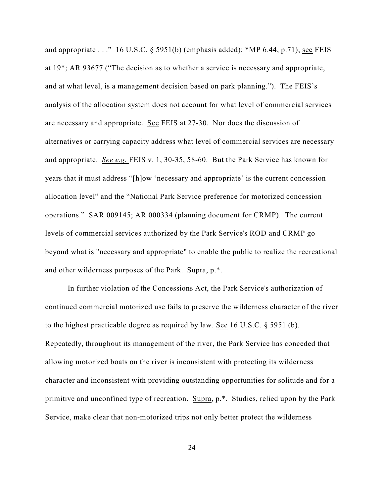and appropriate  $\ldots$  " 16 U.S.C. § 5951(b) (emphasis added); \*MP 6.44, p.71); see FEIS at 19\*; AR 93677 ("The decision as to whether a service is necessary and appropriate, and at what level, is a management decision based on park planning."). The FEIS's analysis of the allocation system does not account for what level of commercial services are necessary and appropriate. See FEIS at 27-30. Nor does the discussion of alternatives or carrying capacity address what level of commercial services are necessary and appropriate. *See e.g.* FEIS v. 1, 30-35, 58-60. But the Park Service has known for years that it must address "[h]ow 'necessary and appropriate' is the current concession allocation level" and the "National Park Service preference for motorized concession operations." SAR 009145; AR 000334 (planning document for CRMP). The current levels of commercial services authorized by the Park Service's ROD and CRMP go beyond what is "necessary and appropriate" to enable the public to realize the recreational and other wilderness purposes of the Park. Supra, p.\*.

In further violation of the Concessions Act, the Park Service's authorization of continued commercial motorized use fails to preserve the wilderness character of the river to the highest practicable degree as required by law. See 16 U.S.C. § 5951 (b). Repeatedly, throughout its management of the river, the Park Service has conceded that allowing motorized boats on the river is inconsistent with protecting its wilderness character and inconsistent with providing outstanding opportunities for solitude and for a primitive and unconfined type of recreation. Supra, p.\*. Studies, relied upon by the Park Service, make clear that non-motorized trips not only better protect the wilderness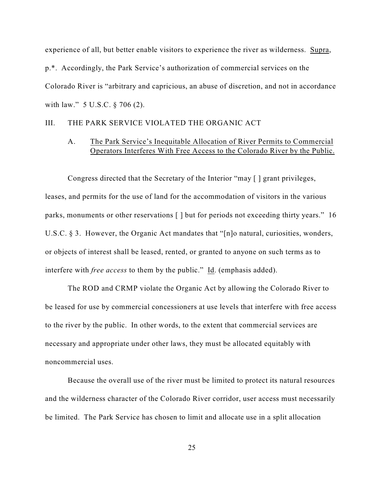experience of all, but better enable visitors to experience the river as wilderness. Supra, p.\*. Accordingly, the Park Service's authorization of commercial services on the Colorado River is "arbitrary and capricious, an abuse of discretion, and not in accordance with law." 5 U.S.C. § 706 (2).

### III. THE PARK SERVICE VIOLATED THE ORGANIC ACT

# A. The Park Service's Inequitable Allocation of River Permits to Commercial Operators Interferes With Free Access to the Colorado River by the Public.

Congress directed that the Secretary of the Interior "may [ ] grant privileges, leases, and permits for the use of land for the accommodation of visitors in the various parks, monuments or other reservations [ ] but for periods not exceeding thirty years." 16 U.S.C.  $\S$  3. However, the Organic Act mandates that "[n]o natural, curiosities, wonders, or objects of interest shall be leased, rented, or granted to anyone on such terms as to interfere with *free access* to them by the public." Id. (emphasis added).

The ROD and CRMP violate the Organic Act by allowing the Colorado River to be leased for use by commercial concessioners at use levels that interfere with free access to the river by the public. In other words, to the extent that commercial services are necessary and appropriate under other laws, they must be allocated equitably with noncommercial uses.

Because the overall use of the river must be limited to protect its natural resources and the wilderness character of the Colorado River corridor, user access must necessarily be limited. The Park Service has chosen to limit and allocate use in a split allocation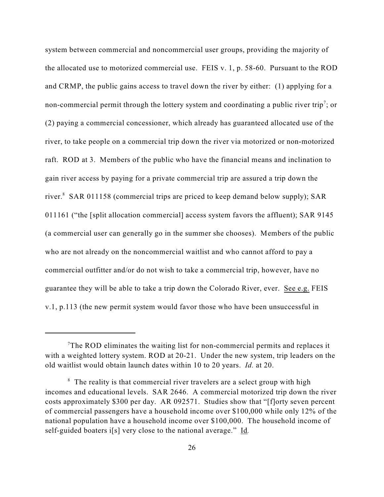system between commercial and noncommercial user groups, providing the majority of the allocated use to motorized commercial use. FEIS v. 1, p. 58-60. Pursuant to the ROD and CRMP, the public gains access to travel down the river by either: (1) applying for a non-commercial permit through the lottery system and coordinating a public river trip<sup>7</sup>; or (2) paying a commercial concessioner, which already has guaranteed allocated use of the river, to take people on a commercial trip down the river via motorized or non-motorized raft. ROD at 3. Members of the public who have the financial means and inclination to gain river access by paying for a private commercial trip are assured a trip down the river. $8$  SAR 011158 (commercial trips are priced to keep demand below supply); SAR 011161 ("the [split allocation commercial] access system favors the affluent); SAR 9145 (a commercial user can generally go in the summer she chooses). Members of the public who are not already on the noncommercial waitlist and who cannot afford to pay a commercial outfitter and/or do not wish to take a commercial trip, however, have no guarantee they will be able to take a trip down the Colorado River, ever. See e.g. FEIS v.1, p.113 (the new permit system would favor those who have been unsuccessful in

 $T$ The ROD eliminates the waiting list for non-commercial permits and replaces it with a weighted lottery system. ROD at 20-21. Under the new system, trip leaders on the old waitlist would obtain launch dates within 10 to 20 years. *Id.* at 20.

 $8\text{ }$  The reality is that commercial river travelers are a select group with high incomes and educational levels. SAR 2646. A commercial motorized trip down the river costs approximately \$300 per day. AR 092571. Studies show that "[f]orty seven percent of commercial passengers have a household income over \$100,000 while only 12% of the national population have a household income over \$100,000. The household income of self-guided boaters i[s] very close to the national average." Id*.*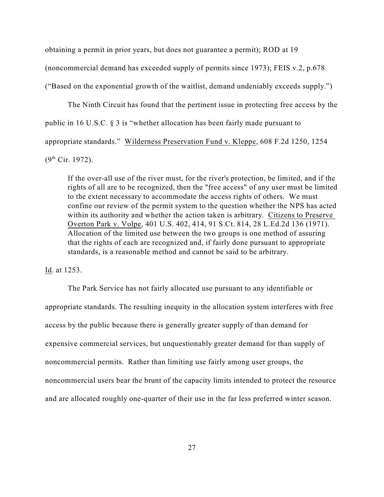obtaining a permit in prior years, but does not guarantee a permit); ROD at 19 (noncommercial demand has exceeded supply of permits since 1973); FEIS v.2, p.678 ("Based on the exponential growth of the waitlist, demand undeniably exceeds supply.")

The Ninth Circuit has found that the pertinent issue in protecting free access by the public in 16 U.S.C. § 3 is "whether allocation has been fairly made pursuant to appropriate standards." Wilderness Preservation Fund v. Kleppe, 608 F.2d 1250, 1254

 $(9^{th}$  Cir. 1972).

If the over-all use of the river must, for the river's protection, be limited, and if the rights of all are to be recognized, then the "free access" of any user must be limited to the extent necessary to accommodate the access rights of others. We must confine our review of the permit system to the question whether the NPS has acted within its authority and whether the action taken is arbitrary. Citizens to Preserve Overton Park v. Volpe, 401 U.S. 402, 414, 91 S.Ct. 814, 28 L.Ed.2d 136 (1971). Allocation of the limited use between the two groups is one method of assuring that the rights of each are recognized and, if fairly done pursuant to appropriate standards, is a reasonable method and cannot be said to be arbitrary.

Id. at 1253.

The Park Service has not fairly allocated use pursuant to any identifiable or appropriate standards. The resulting inequity in the allocation system interferes with free access by the public because there is generally greater supply of than demand for expensive commercial services, but unquestionably greater demand for than supply of noncommercial permits. Rather than limiting use fairly among user groups, the noncommercial users bear the brunt of the capacity limits intended to protect the resource and are allocated roughly one-quarter of their use in the far less preferred winter season.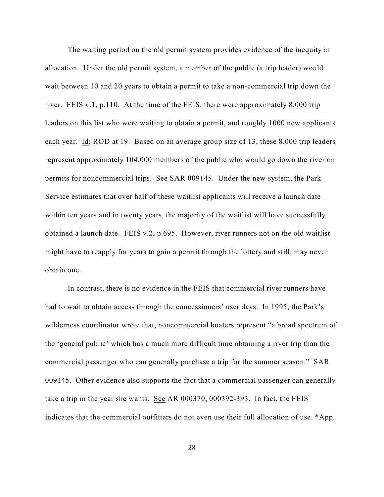The waiting period on the old permit system provides evidence of the inequity in allocation. Under the old permit system, a member of the public (a trip leader) would wait between 10 and 20 years to obtain a permit to take a non-commercial trip down the river. FEIS v.1, p.110. At the time of the FEIS, there were approximately 8,000 trip leaders on this list who were waiting to obtain a permit, and roughly 1000 new applicants each year. Id; ROD at 19. Based on an average group size of 13, these 8,000 trip leaders represent approximately 104,000 members of the public who would go down the river on permits for noncommercial trips. See SAR 009145. Under the new system, the Park Service estimates that over half of these waitlist applicants will receive a launch date within ten years and in twenty years, the majority of the waitlist will have successfully obtained a launch date. FEIS v.2, p.695. However, river runners not on the old waitlist might have to reapply for years to gain a permit through the lottery and still, may never obtain one.

In contrast, there is no evidence in the FEIS that commercial river runners have had to wait to obtain access through the concessioners' user days. In 1995, the Park's wilderness coordinator wrote that, noncommercial boaters represent "a broad spectrum of the 'general public' which has a much more difficult time obtaining a river trip than the commercial passenger who can generally purchase a trip for the summer season." SAR 009145. Other evidence also supports the fact that a commercial passenger can generally take a trip in the year she wants. See AR 000370, 000392-393. In fact, the FEIS indicates that the commercial outfitters do not even use their full allocation of use. \*App.

28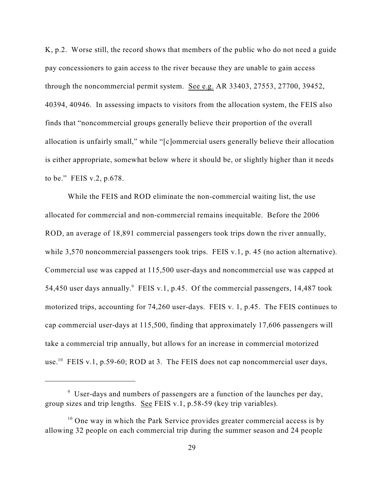K, p.2. Worse still, the record shows that members of the public who do not need a guide pay concessioners to gain access to the river because they are unable to gain access through the noncommercial permit system. See e.g. AR 33403, 27553, 27700, 39452, 40394, 40946. In assessing impacts to visitors from the allocation system, the FEIS also finds that "noncommercial groups generally believe their proportion of the overall allocation is unfairly small," while "[c]ommercial users generally believe their allocation is either appropriate, somewhat below where it should be, or slightly higher than it needs to be." FEIS v.2, p.678.

While the FEIS and ROD eliminate the non-commercial waiting list, the use allocated for commercial and non-commercial remains inequitable. Before the 2006 ROD, an average of 18,891 commercial passengers took trips down the river annually, while 3,570 noncommercial passengers took trips. FEIS v.1, p. 45 (no action alternative). Commercial use was capped at 115,500 user-days and noncommercial use was capped at 54,450 user days annually. FEIS v.1, p.45. Of the commercial passengers, 14,487 took motorized trips, accounting for 74,260 user-days. FEIS v. 1, p.45. The FEIS continues to cap commercial user-days at 115,500, finding that approximately 17,606 passengers will take a commercial trip annually, but allows for an increase in commercial motorized use.<sup>10</sup> FEIS v.1, p.59-60; ROD at 3. The FEIS does not cap noncommercial user days,

 $9$  User-days and numbers of passengers are a function of the launches per day, group sizes and trip lengths. See FEIS v.1, p.58-59 (key trip variables).

 $10$  One way in which the Park Service provides greater commercial access is by allowing 32 people on each commercial trip during the summer season and 24 people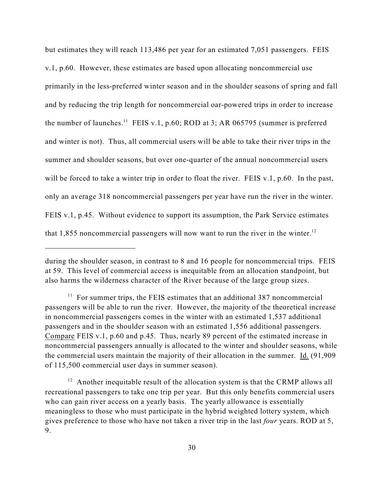but estimates they will reach 113,486 per year for an estimated 7,051 passengers. FEIS v.1, p.60. However, these estimates are based upon allocating noncommercial use primarily in the less-preferred winter season and in the shoulder seasons of spring and fall and by reducing the trip length for noncommercial oar-powered trips in order to increase the number of launches.<sup>11</sup> FEIS v.1, p.60; ROD at 3; AR 065795 (summer is preferred and winter is not). Thus, all commercial users will be able to take their river trips in the summer and shoulder seasons, but over one-quarter of the annual noncommercial users will be forced to take a winter trip in order to float the river. FEIS v.1, p.60. In the past, only an average 318 noncommercial passengers per year have run the river in the winter. FEIS v.1, p.45. Without evidence to support its assumption, the Park Service estimates that 1,855 noncommercial passengers will now want to run the river in the winter.<sup>12</sup>

during the shoulder season, in contrast to 8 and 16 people for noncommercial trips. FEIS at 59. This level of commercial access is inequitable from an allocation standpoint, but also harms the wilderness character of the River because of the large group sizes.

 $11$  For summer trips, the FEIS estimates that an additional 387 noncommercial passengers will be able to run the river. However, the majority of the theoretical increase in noncommercial passengers comes in the winter with an estimated 1,537 additional passengers and in the shoulder season with an estimated 1,556 additional passengers. Compare FEIS v.1, p.60 and p.45. Thus, nearly 89 percent of the estimated increase in noncommercial passengers annually is allocated to the winter and shoulder seasons, while the commercial users maintain the majority of their allocation in the summer. Id. (91,909 of 115,500 commercial user days in summer season).

 $12$  Another inequitable result of the allocation system is that the CRMP allows all recreational passengers to take one trip per year. But this only benefits commercial users who can gain river access on a yearly basis. The yearly allowance is essentially meaningless to those who must participate in the hybrid weighted lottery system, which gives preference to those who have not taken a river trip in the last *four* years. ROD at 5, 9.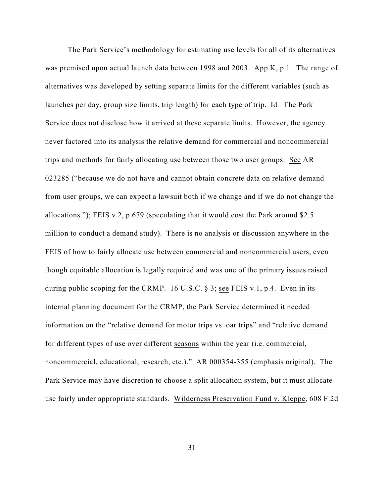The Park Service's methodology for estimating use levels for all of its alternatives was premised upon actual launch data between 1998 and 2003. App.K, p.1. The range of alternatives was developed by setting separate limits for the different variables (such as launches per day, group size limits, trip length) for each type of trip. Id*.* The Park Service does not disclose how it arrived at these separate limits. However, the agency never factored into its analysis the relative demand for commercial and noncommercial trips and methods for fairly allocating use between those two user groups. See AR 023285 ("because we do not have and cannot obtain concrete data on relative demand from user groups, we can expect a lawsuit both if we change and if we do not change the allocations."); FEIS v.2, p.679 (speculating that it would cost the Park around \$2.5 million to conduct a demand study). There is no analysis or discussion anywhere in the FEIS of how to fairly allocate use between commercial and noncommercial users, even though equitable allocation is legally required and was one of the primary issues raised during public scoping for the CRMP. 16 U.S.C. § 3; see FEIS v.1, p.4. Even in its internal planning document for the CRMP, the Park Service determined it needed information on the "relative demand for motor trips vs. oar trips" and "relative demand for different types of use over different seasons within the year (i.e. commercial, noncommercial, educational, research, etc.)." AR 000354-355 (emphasis original). The Park Service may have discretion to choose a split allocation system, but it must allocate use fairly under appropriate standards. Wilderness Preservation Fund v. Kleppe, 608 F.2d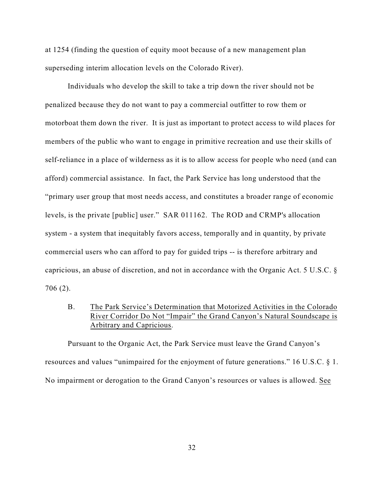at 1254 (finding the question of equity moot because of a new management plan superseding interim allocation levels on the Colorado River).

Individuals who develop the skill to take a trip down the river should not be penalized because they do not want to pay a commercial outfitter to row them or motorboat them down the river. It is just as important to protect access to wild places for members of the public who want to engage in primitive recreation and use their skills of self-reliance in a place of wilderness as it is to allow access for people who need (and can afford) commercial assistance. In fact, the Park Service has long understood that the "primary user group that most needs access, and constitutes a broader range of economic levels, is the private [public] user." SAR 011162. The ROD and CRMP's allocation system - a system that inequitably favors access, temporally and in quantity, by private commercial users who can afford to pay for guided trips -- is therefore arbitrary and capricious, an abuse of discretion, and not in accordance with the Organic Act. 5 U.S.C. § 706 (2).

B. The Park Service's Determination that Motorized Activities in the Colorado River Corridor Do Not "Impair" the Grand Canyon's Natural Soundscape is Arbitrary and Capricious.

Pursuant to the Organic Act, the Park Service must leave the Grand Canyon's resources and values "unimpaired for the enjoyment of future generations." 16 U.S.C. § 1. No impairment or derogation to the Grand Canyon's resources or values is allowed. See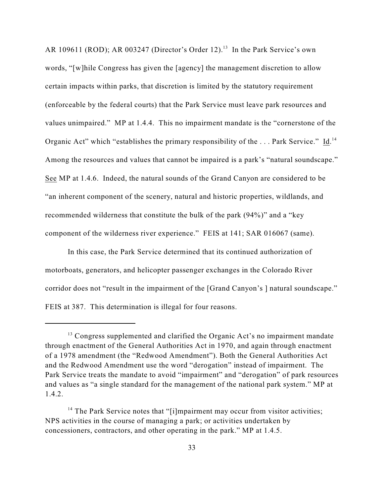AR 109611 (ROD); AR 003247 (Director's Order 12).<sup>13</sup> In the Park Service's own words, "[w]hile Congress has given the [agency] the management discretion to allow certain impacts within parks, that discretion is limited by the statutory requirement (enforceable by the federal courts) that the Park Service must leave park resources and values unimpaired." MP at 1.4.4. This no impairment mandate is the "cornerstone of the Organic Act" which "establishes the primary responsibility of the ... Park Service." Id.<sup>14</sup> Among the resources and values that cannot be impaired is a park's "natural soundscape." See MP at 1.4.6. Indeed, the natural sounds of the Grand Canyon are considered to be "an inherent component of the scenery, natural and historic properties, wildlands, and recommended wilderness that constitute the bulk of the park (94%)" and a "key component of the wilderness river experience." FEIS at 141; SAR 016067 (same).

In this case, the Park Service determined that its continued authorization of motorboats, generators, and helicopter passenger exchanges in the Colorado River corridor does not "result in the impairment of the [Grand Canyon's ] natural soundscape." FEIS at 387. This determination is illegal for four reasons.

 $13$  Congress supplemented and clarified the Organic Act's no impairment mandate through enactment of the General Authorities Act in 1970, and again through enactment of a 1978 amendment (the "Redwood Amendment"). Both the General Authorities Act and the Redwood Amendment use the word "derogation" instead of impairment. The Park Service treats the mandate to avoid "impairment" and "derogation" of park resources and values as "a single standard for the management of the national park system." MP at 1.4.2.

 $14$  The Park Service notes that "[i]mpairment may occur from visitor activities; NPS activities in the course of managing a park; or activities undertaken by concessioners, contractors, and other operating in the park." MP at 1.4.5.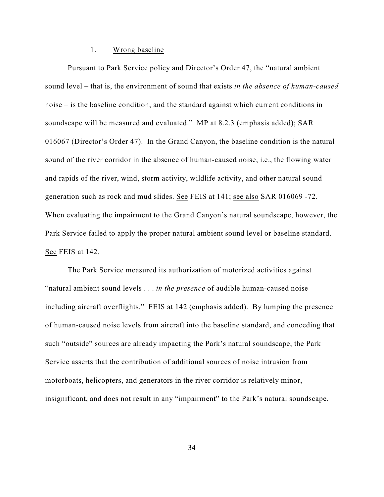#### 1. Wrong baseline

Pursuant to Park Service policy and Director's Order 47, the "natural ambient sound level – that is, the environment of sound that exists *in the absence of human-caused* noise – is the baseline condition, and the standard against which current conditions in soundscape will be measured and evaluated." MP at 8.2.3 (emphasis added); SAR 016067 (Director's Order 47). In the Grand Canyon, the baseline condition is the natural sound of the river corridor in the absence of human-caused noise, i.e., the flowing water and rapids of the river, wind, storm activity, wildlife activity, and other natural sound generation such as rock and mud slides. See FEIS at 141; see also SAR 016069 -72. When evaluating the impairment to the Grand Canyon's natural soundscape, however, the Park Service failed to apply the proper natural ambient sound level or baseline standard. See FEIS at 142.

The Park Service measured its authorization of motorized activities against "natural ambient sound levels . . . *in the presence* of audible human-caused noise including aircraft overflights." FEIS at 142 (emphasis added). By lumping the presence of human-caused noise levels from aircraft into the baseline standard, and conceding that such "outside" sources are already impacting the Park's natural soundscape, the Park Service asserts that the contribution of additional sources of noise intrusion from motorboats, helicopters, and generators in the river corridor is relatively minor, insignificant, and does not result in any "impairment" to the Park's natural soundscape.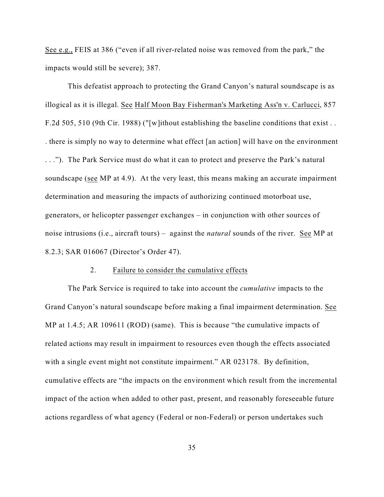See e.g., FEIS at 386 ("even if all river-related noise was removed from the park," the impacts would still be severe); 387.

This defeatist approach to protecting the Grand Canyon's natural soundscape is as illogical as it is illegal. See Half Moon Bay Fisherman's Marketing Ass'n v. Carlucci, 857 F.2d 505, 510 (9th Cir. 1988) ("[w]ithout establishing the baseline conditions that exist . . . there is simply no way to determine what effect [an action] will have on the environment . . ."). The Park Service must do what it can to protect and preserve the Park's natural soundscape (see MP at 4.9). At the very least, this means making an accurate impairment determination and measuring the impacts of authorizing continued motorboat use, generators, or helicopter passenger exchanges – in conjunction with other sources of noise intrusions (i.e., aircraft tours) – against the *natural* sounds of the river. See MP at 8.2.3; SAR 016067 (Director's Order 47).

#### 2. Failure to consider the cumulative effects

The Park Service is required to take into account the *cumulative* impacts to the Grand Canyon's natural soundscape before making a final impairment determination. See MP at 1.4.5; AR 109611 (ROD) (same). This is because "the cumulative impacts of related actions may result in impairment to resources even though the effects associated with a single event might not constitute impairment." AR 023178. By definition, cumulative effects are "the impacts on the environment which result from the incremental impact of the action when added to other past, present, and reasonably foreseeable future actions regardless of what agency (Federal or non-Federal) or person undertakes such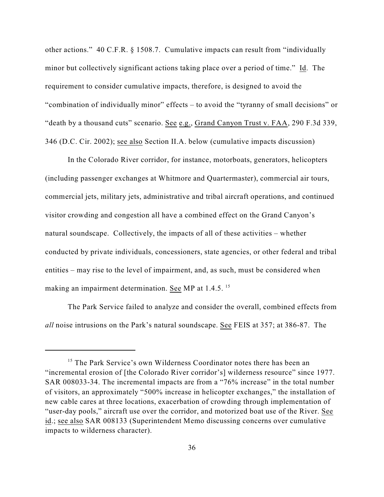other actions." 40 C.F.R. § 1508.7. Cumulative impacts can result from "individually minor but collectively significant actions taking place over a period of time." Id. The requirement to consider cumulative impacts, therefore, is designed to avoid the "combination of individually minor" effects – to avoid the "tyranny of small decisions" or "death by a thousand cuts" scenario. See e.g., Grand Canyon Trust v. FAA, 290 F.3d 339, 346 (D.C. Cir. 2002); see also Section II.A. below (cumulative impacts discussion)

In the Colorado River corridor, for instance, motorboats, generators, helicopters (including passenger exchanges at Whitmore and Quartermaster), commercial air tours, commercial jets, military jets, administrative and tribal aircraft operations, and continued visitor crowding and congestion all have a combined effect on the Grand Canyon's natural soundscape. Collectively, the impacts of all of these activities – whether conducted by private individuals, concessioners, state agencies, or other federal and tribal entities – may rise to the level of impairment, and, as such, must be considered when making an impairment determination. See MP at 1.4.5. <sup>15</sup>

The Park Service failed to analyze and consider the overall, combined effects from *all* noise intrusions on the Park's natural soundscape. See FEIS at 357; at 386-87. The

<sup>&</sup>lt;sup>15</sup> The Park Service's own Wilderness Coordinator notes there has been an "incremental erosion of [the Colorado River corridor's] wilderness resource" since 1977. SAR 008033-34. The incremental impacts are from a "76% increase" in the total number of visitors, an approximately "500% increase in helicopter exchanges," the installation of new cable cares at three locations, exacerbation of crowding through implementation of "user-day pools," aircraft use over the corridor, and motorized boat use of the River. See id.; see also SAR 008133 (Superintendent Memo discussing concerns over cumulative impacts to wilderness character).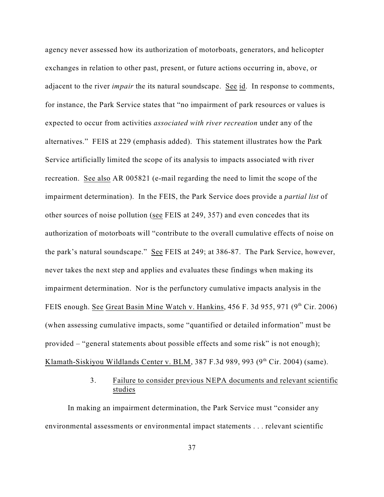agency never assessed how its authorization of motorboats, generators, and helicopter exchanges in relation to other past, present, or future actions occurring in, above, or adjacent to the river *impair* the its natural soundscape. See id. In response to comments, for instance, the Park Service states that "no impairment of park resources or values is expected to occur from activities *associated with river recreation* under any of the alternatives." FEIS at 229 (emphasis added). This statement illustrates how the Park Service artificially limited the scope of its analysis to impacts associated with river recreation. See also AR 005821 (e-mail regarding the need to limit the scope of the impairment determination). In the FEIS, the Park Service does provide a *partial list* of other sources of noise pollution (see FEIS at 249, 357) and even concedes that its authorization of motorboats will "contribute to the overall cumulative effects of noise on the park's natural soundscape." See FEIS at 249; at 386-87. The Park Service, however, never takes the next step and applies and evaluates these findings when making its impairment determination. Nor is the perfunctory cumulative impacts analysis in the FEIS enough. See Great Basin Mine Watch v. Hankins,  $456$  F. 3d  $955$ ,  $971$  ( $9<sup>th</sup>$  Cir. 2006) (when assessing cumulative impacts, some "quantified or detailed information" must be provided – "general statements about possible effects and some risk" is not enough); Klamath-Siskiyou Wildlands Center v. BLM, 387 F.3d 989, 993 (9<sup>th</sup> Cir. 2004) (same).

## 3. Failure to consider previous NEPA documents and relevant scientific studies

In making an impairment determination, the Park Service must "consider any environmental assessments or environmental impact statements . . . relevant scientific

37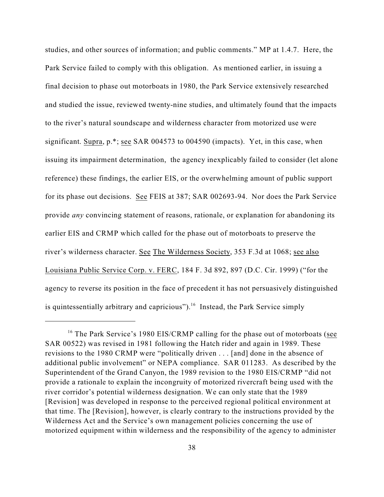studies, and other sources of information; and public comments." MP at 1.4.7. Here, the Park Service failed to comply with this obligation. As mentioned earlier, in issuing a final decision to phase out motorboats in 1980, the Park Service extensively researched and studied the issue, reviewed twenty-nine studies, and ultimately found that the impacts to the river's natural soundscape and wilderness character from motorized use were significant. Supra, p.\*; see SAR 004573 to 004590 (impacts). Yet, in this case, when issuing its impairment determination, the agency inexplicably failed to consider (let alone reference) these findings, the earlier EIS, or the overwhelming amount of public support for its phase out decisions. See FEIS at 387; SAR 002693-94. Nor does the Park Service provide *any* convincing statement of reasons, rationale, or explanation for abandoning its earlier EIS and CRMP which called for the phase out of motorboats to preserve the river's wilderness character. See The Wilderness Society, 353 F.3d at 1068; see also Louisiana Public Service Corp. v. FERC, 184 F. 3d 892, 897 (D.C. Cir. 1999) ("for the agency to reverse its position in the face of precedent it has not persuasively distinguished is quintessentially arbitrary and capricious").<sup>16</sup> Instead, the Park Service simply

<sup>&</sup>lt;sup>16</sup> The Park Service's 1980 EIS/CRMP calling for the phase out of motorboats (see SAR 00522) was revised in 1981 following the Hatch rider and again in 1989. These revisions to the 1980 CRMP were "politically driven . . . [and] done in the absence of additional public involvement" or NEPA compliance. SAR 011283. As described by the Superintendent of the Grand Canyon, the 1989 revision to the 1980 EIS/CRMP "did not provide a rationale to explain the incongruity of motorized rivercraft being used with the river corridor's potential wilderness designation. We can only state that the 1989 [Revision] was developed in response to the perceived regional political environment at that time. The [Revision], however, is clearly contrary to the instructions provided by the Wilderness Act and the Service's own management policies concerning the use of motorized equipment within wilderness and the responsibility of the agency to administer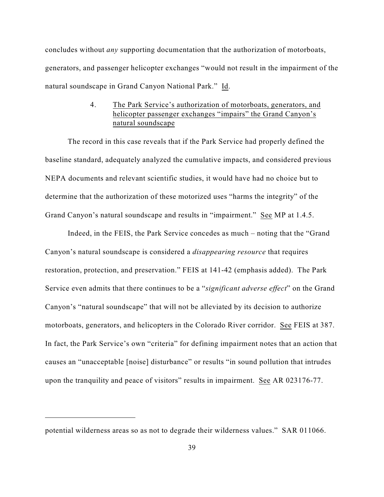concludes without *any* supporting documentation that the authorization of motorboats, generators, and passenger helicopter exchanges "would not result in the impairment of the natural soundscape in Grand Canyon National Park." Id.

# 4. The Park Service's authorization of motorboats, generators, and helicopter passenger exchanges "impairs" the Grand Canyon's natural soundscape

The record in this case reveals that if the Park Service had properly defined the baseline standard, adequately analyzed the cumulative impacts, and considered previous NEPA documents and relevant scientific studies, it would have had no choice but to determine that the authorization of these motorized uses "harms the integrity" of the Grand Canyon's natural soundscape and results in "impairment." See MP at 1.4.5.

Indeed, in the FEIS, the Park Service concedes as much – noting that the "Grand Canyon's natural soundscape is considered a *disappearing resource* that requires restoration, protection, and preservation." FEIS at 141-42 (emphasis added). The Park Service even admits that there continues to be a "*significant adverse effect*" on the Grand Canyon's "natural soundscape" that will not be alleviated by its decision to authorize motorboats, generators, and helicopters in the Colorado River corridor. See FEIS at 387. In fact, the Park Service's own "criteria" for defining impairment notes that an action that causes an "unacceptable [noise] disturbance" or results "in sound pollution that intrudes upon the tranquility and peace of visitors" results in impairment. See AR 023176-77.

potential wilderness areas so as not to degrade their wilderness values." SAR 011066.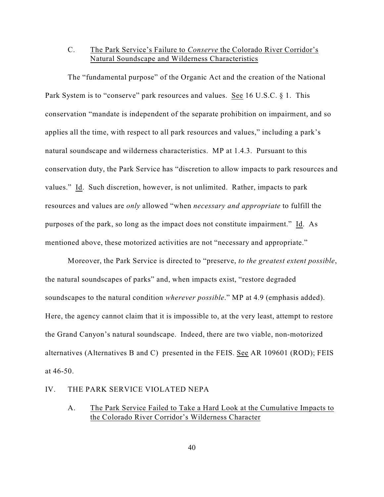# C. The Park Service's Failure to *Conserve* the Colorado River Corridor's Natural Soundscape and Wilderness Characteristics

The "fundamental purpose" of the Organic Act and the creation of the National Park System is to "conserve" park resources and values. See 16 U.S.C. § 1. This conservation "mandate is independent of the separate prohibition on impairment, and so applies all the time, with respect to all park resources and values," including a park's natural soundscape and wilderness characteristics. MP at 1.4.3. Pursuant to this conservation duty, the Park Service has "discretion to allow impacts to park resources and values." Id. Such discretion, however, is not unlimited. Rather, impacts to park resources and values are *only* allowed "when *necessary and appropriate* to fulfill the purposes of the park, so long as the impact does not constitute impairment." Id. As mentioned above, these motorized activities are not "necessary and appropriate."

Moreover, the Park Service is directed to "preserve, *to the greatest extent possible*, the natural soundscapes of parks" and, when impacts exist, "restore degraded soundscapes to the natural condition *wherever possible*." MP at 4.9 (emphasis added). Here, the agency cannot claim that it is impossible to, at the very least, attempt to restore the Grand Canyon's natural soundscape. Indeed, there are two viable, non-motorized alternatives (Alternatives B and C) presented in the FEIS. See AR 109601 (ROD); FEIS at 46-50.

#### IV. THE PARK SERVICE VIOLATED NEPA

### A. The Park Service Failed to Take a Hard Look at the Cumulative Impacts to the Colorado River Corridor's Wilderness Character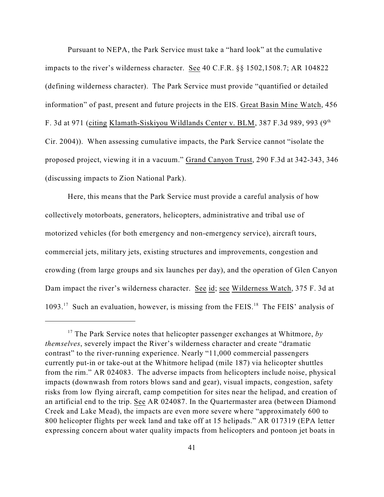Pursuant to NEPA, the Park Service must take a "hard look" at the cumulative impacts to the river's wilderness character. See 40 C.F.R. §§ 1502,1508.7; AR 104822 (defining wilderness character). The Park Service must provide "quantified or detailed information" of past, present and future projects in the EIS. Great Basin Mine Watch, 456 F. 3d at 971 (citing Klamath-Siskiyou Wildlands Center v. BLM, 387 F.3d 989, 993 (9<sup>th</sup> Cir. 2004)). When assessing cumulative impacts, the Park Service cannot "isolate the proposed project, viewing it in a vacuum." Grand Canyon Trust, 290 F.3d at 342-343, 346 (discussing impacts to Zion National Park).

Here, this means that the Park Service must provide a careful analysis of how collectively motorboats, generators, helicopters, administrative and tribal use of motorized vehicles (for both emergency and non-emergency service), aircraft tours, commercial jets, military jets, existing structures and improvements, congestion and crowding (from large groups and six launches per day), and the operation of Glen Canyon Dam impact the river's wilderness character. See id; see Wilderness Watch, 375 F. 3d at 1093.<sup>17</sup> Such an evaluation, however, is missing from the FEIS.<sup>18</sup> The FEIS' analysis of

<sup>&</sup>lt;sup>17</sup> The Park Service notes that helicopter passenger exchanges at Whitmore,  $b\mathbf{v}$ *themselves*, severely impact the River's wilderness character and create "dramatic contrast" to the river-running experience. Nearly "11,000 commercial passengers currently put-in or take-out at the Whitmore helipad (mile 187) via helicopter shuttles from the rim." AR 024083. The adverse impacts from helicopters include noise, physical impacts (downwash from rotors blows sand and gear), visual impacts, congestion, safety risks from low flying aircraft, camp competition for sites near the helipad, and creation of an artificial end to the trip. See AR 024087. In the Quartermaster area (between Diamond Creek and Lake Mead), the impacts are even more severe where "approximately 600 to 800 helicopter flights per week land and take off at 15 helipads." AR 017319 (EPA letter expressing concern about water quality impacts from helicopters and pontoon jet boats in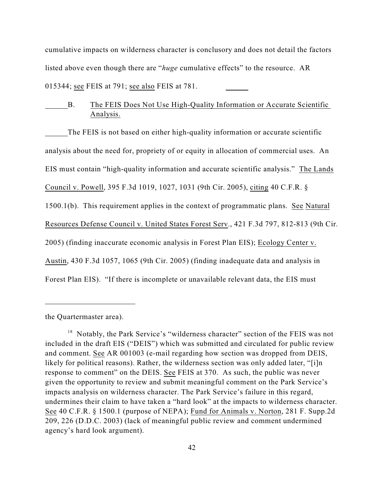cumulative impacts on wilderness character is conclusory and does not detail the factors listed above even though there are "*huge* cumulative effects" to the resource. AR 015344; see FEIS at 791; see also FEIS at 781.

# B. The FEIS Does Not Use High-Quality Information or Accurate Scientific Analysis.

The FEIS is not based on either high-quality information or accurate scientific analysis about the need for, propriety of or equity in allocation of commercial uses. An EIS must contain "high-quality information and accurate scientific analysis." The Lands Council v. Powell, 395 F.3d 1019, 1027, 1031 (9th Cir. 2005), citing 40 C.F.R. § 1500.1(b). This requirement applies in the context of programmatic plans. See Natural Resources Defense Council v. United States Forest Serv., 421 F.3d 797, 812-813 (9th Cir. 2005) (finding inaccurate economic analysis in Forest Plan EIS); Ecology Center v. Austin, 430 F.3d 1057, 1065 (9th Cir. 2005) (finding inadequate data and analysis in Forest Plan EIS). "If there is incomplete or unavailable relevant data, the EIS must

the Quartermaster area).

 $18$  Notably, the Park Service's "wilderness character" section of the FEIS was not included in the draft EIS ("DEIS") which was submitted and circulated for public review and comment. See AR 001003 (e-mail regarding how section was dropped from DEIS, likely for political reasons). Rather, the wilderness section was only added later, "[i]n response to comment" on the DEIS. See FEIS at 370. As such, the public was never given the opportunity to review and submit meaningful comment on the Park Service's impacts analysis on wilderness character. The Park Service's failure in this regard, undermines their claim to have taken a "hard look" at the impacts to wilderness character. See 40 C.F.R. § 1500.1 (purpose of NEPA); Fund for Animals v. Norton, 281 F. Supp.2d 209, 226 (D.D.C. 2003) (lack of meaningful public review and comment undermined agency's hard look argument).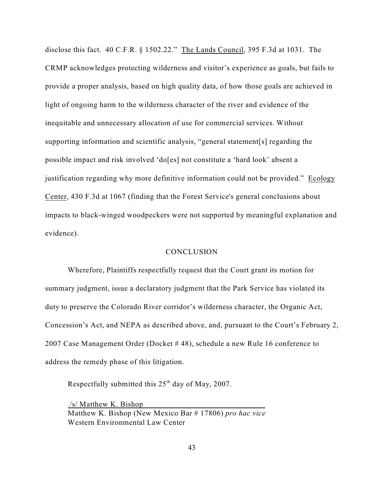disclose this fact. 40 C.F.R. § 1502.22." The Lands Council, 395 F.3d at 1031. The CRMP acknowledges protecting wilderness and visitor's experience as goals, but fails to provide a proper analysis, based on high quality data, of how those goals are achieved in light of ongoing harm to the wilderness character of the river and evidence of the inequitable and unnecessary allocation of use for commercial services. Without supporting information and scientific analysis, "general statement[s] regarding the possible impact and risk involved 'do[es] not constitute a 'hard look' absent a justification regarding why more definitive information could not be provided." Ecology Center, 430 F.3d at 1067 (finding that the Forest Service's general conclusions about impacts to black-winged woodpeckers were not supported by meaningful explanation and evidence).

#### **CONCLUSION**

Wherefore, Plaintiffs respectfully request that the Court grant its motion for summary judgment, issue a declaratory judgment that the Park Service has violated its duty to preserve the Colorado River corridor's wilderness character, the Organic Act, Concession's Act, and NEPA as described above, and, pursuant to the Court's February 2, 2007 Case Management Order (Docket # 48), schedule a new Rule 16 conference to address the remedy phase of this litigation.

Respectfully submitted this  $25<sup>th</sup>$  day of May, 2007.

 /s/ Matthew K. Bishop Matthew K. Bishop (New Mexico Bar # 17806) *pro hac vice* Western Environmental Law Center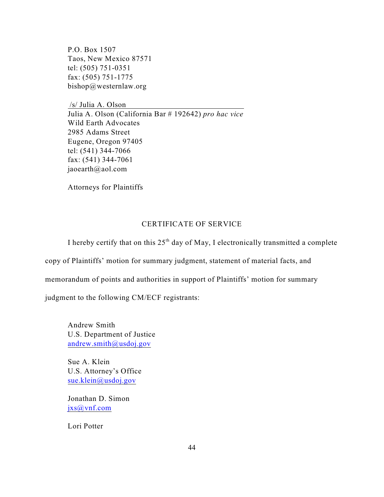P.O. Box 1507 Taos, New Mexico 87571 tel: (505) 751-0351 fax: (505) 751-1775 bishop@westernlaw.org

 /s/ Julia A. Olson Julia A. Olson (California Bar # 192642) *pro hac vice* Wild Earth Advocates 2985 Adams Street Eugene, Oregon 97405 tel: (541) 344-7066 fax: (541) 344-7061 jaoearth@aol.com

Attorneys for Plaintiffs

### CERTIFICATE OF SERVICE

I hereby certify that on this  $25<sup>th</sup>$  day of May, I electronically transmitted a complete

copy of Plaintiffs' motion for summary judgment, statement of material facts, and

memorandum of points and authorities in support of Plaintiffs' motion for summary

judgment to the following CM/ECF registrants:

Andrew Smith U.S. Department of Justice [andrew.smith@usdoj.gov](mailto:andrew.smith@usdoj.gov)

Sue A. Klein U.S. Attorney's Office [sue.klein@usdoj.gov](mailto:sue.klein@usdoj.gov)

Jonathan D. Simon [jxs@vnf.com](mailto:jxs@vnf.com)

Lori Potter